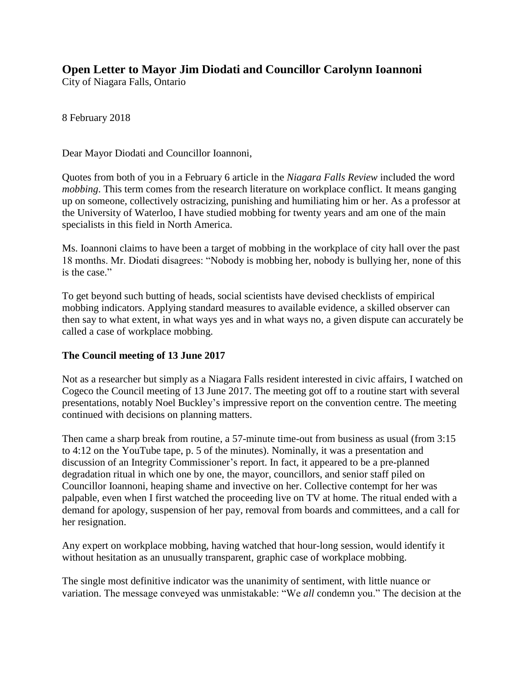## **Open Letter to Mayor Jim Diodati and Councillor Carolynn Ioannoni**

City of Niagara Falls, Ontario

8 February 2018

Dear Mayor Diodati and Councillor Ioannoni,

Quotes from both of you in a February 6 article in the *Niagara Falls Review* included the word *mobbing*. This term comes from the research literature on workplace conflict. It means ganging up on someone, collectively ostracizing, punishing and humiliating him or her. As a professor at the University of Waterloo, I have studied mobbing for twenty years and am one of the main specialists in this field in North America.

Ms. Ioannoni claims to have been a target of mobbing in the workplace of city hall over the past 18 months. Mr. Diodati disagrees: "Nobody is mobbing her, nobody is bullying her, none of this is the case."

To get beyond such butting of heads, social scientists have devised checklists of empirical mobbing indicators. Applying standard measures to available evidence, a skilled observer can then say to what extent, in what ways yes and in what ways no, a given dispute can accurately be called a case of workplace mobbing.

## **The Council meeting of 13 June 2017**

Not as a researcher but simply as a Niagara Falls resident interested in civic affairs, I watched on Cogeco the Council meeting of 13 June 2017. The meeting got off to a routine start with several presentations, notably Noel Buckley's impressive report on the convention centre. The meeting continued with decisions on planning matters.

Then came a sharp break from routine, a 57-minute time-out from business as usual (from 3:15 to 4:12 on the YouTube tape, p. 5 of the minutes). Nominally, it was a presentation and discussion of an Integrity Commissioner's report. In fact, it appeared to be a pre-planned degradation ritual in which one by one, the mayor, councillors, and senior staff piled on Councillor Ioannoni, heaping shame and invective on her. Collective contempt for her was palpable, even when I first watched the proceeding live on TV at home. The ritual ended with a demand for apology, suspension of her pay, removal from boards and committees, and a call for her resignation.

Any expert on workplace mobbing, having watched that hour-long session, would identify it without hesitation as an unusually transparent, graphic case of workplace mobbing.

The single most definitive indicator was the unanimity of sentiment, with little nuance or variation. The message conveyed was unmistakable: "We *all* condemn you." The decision at the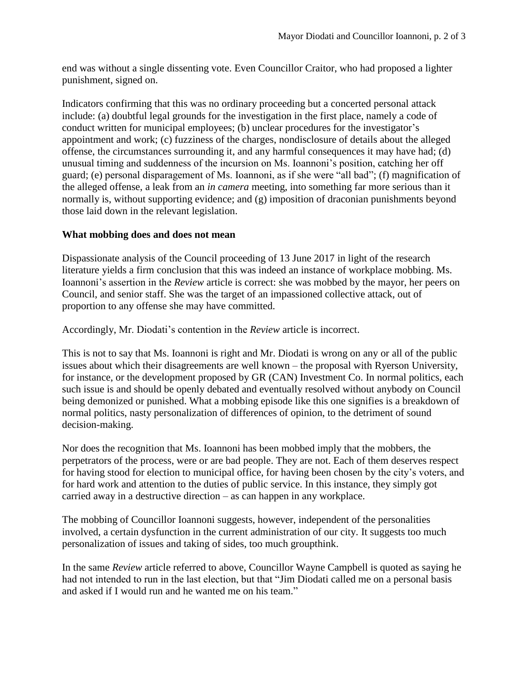end was without a single dissenting vote. Even Councillor Craitor, who had proposed a lighter punishment, signed on.

Indicators confirming that this was no ordinary proceeding but a concerted personal attack include: (a) doubtful legal grounds for the investigation in the first place, namely a code of conduct written for municipal employees; (b) unclear procedures for the investigator's appointment and work; (c) fuzziness of the charges, nondisclosure of details about the alleged offense, the circumstances surrounding it, and any harmful consequences it may have had; (d) unusual timing and suddenness of the incursion on Ms. Ioannoni's position, catching her off guard; (e) personal disparagement of Ms. Ioannoni, as if she were "all bad"; (f) magnification of the alleged offense, a leak from an *in camera* meeting, into something far more serious than it normally is, without supporting evidence; and (g) imposition of draconian punishments beyond those laid down in the relevant legislation.

## **What mobbing does and does not mean**

Dispassionate analysis of the Council proceeding of 13 June 2017 in light of the research literature yields a firm conclusion that this was indeed an instance of workplace mobbing. Ms. Ioannoni's assertion in the *Review* article is correct: she was mobbed by the mayor, her peers on Council, and senior staff. She was the target of an impassioned collective attack, out of proportion to any offense she may have committed.

Accordingly, Mr. Diodati's contention in the *Review* article is incorrect.

This is not to say that Ms. Ioannoni is right and Mr. Diodati is wrong on any or all of the public issues about which their disagreements are well known – the proposal with Ryerson University, for instance, or the development proposed by GR (CAN) Investment Co. In normal politics, each such issue is and should be openly debated and eventually resolved without anybody on Council being demonized or punished. What a mobbing episode like this one signifies is a breakdown of normal politics, nasty personalization of differences of opinion, to the detriment of sound decision-making.

Nor does the recognition that Ms. Ioannoni has been mobbed imply that the mobbers, the perpetrators of the process, were or are bad people. They are not. Each of them deserves respect for having stood for election to municipal office, for having been chosen by the city's voters, and for hard work and attention to the duties of public service. In this instance, they simply got carried away in a destructive direction – as can happen in any workplace.

The mobbing of Councillor Ioannoni suggests, however, independent of the personalities involved, a certain dysfunction in the current administration of our city. It suggests too much personalization of issues and taking of sides, too much groupthink.

In the same *Review* article referred to above, Councillor Wayne Campbell is quoted as saying he had not intended to run in the last election, but that "Jim Diodati called me on a personal basis and asked if I would run and he wanted me on his team."